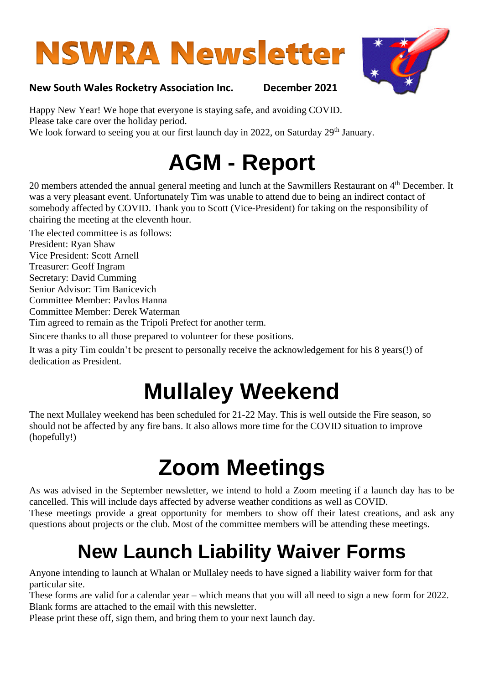# **NSWRA Newsletter**



#### **New South Wales Rocketry Association Inc. December 2021**

Happy New Year! We hope that everyone is staying safe, and avoiding COVID. Please take care over the holiday period. We look forward to seeing you at our first launch day in 2022, on Saturday 29<sup>th</sup> January.

### **AGM - Report**

20 members attended the annual general meeting and lunch at the Sawmillers Restaurant on 4<sup>th</sup> December. It was a very pleasant event. Unfortunately Tim was unable to attend due to being an indirect contact of somebody affected by COVID. Thank you to Scott (Vice-President) for taking on the responsibility of chairing the meeting at the eleventh hour.

The elected committee is as follows:

President: Ryan Shaw

Vice President: Scott Arnell Treasurer: Geoff Ingram

Secretary: David Cumming

Senior Advisor: Tim Banicevich

Committee Member: Pavlos Hanna

Committee Member: Derek Waterman

Tim agreed to remain as the Tripoli Prefect for another term.

Sincere thanks to all those prepared to volunteer for these positions.

It was a pity Tim couldn't be present to personally receive the acknowledgement for his 8 years(!) of dedication as President.

## **Mullaley Weekend**

The next Mullaley weekend has been scheduled for 21-22 May. This is well outside the Fire season, so should not be affected by any fire bans. It also allows more time for the COVID situation to improve (hopefully!)

## **Zoom Meetings**

As was advised in the September newsletter, we intend to hold a Zoom meeting if a launch day has to be cancelled. This will include days affected by adverse weather conditions as well as COVID. These meetings provide a great opportunity for members to show off their latest creations, and ask any questions about projects or the club. Most of the committee members will be attending these meetings.

### **New Launch Liability Waiver Forms**

Anyone intending to launch at Whalan or Mullaley needs to have signed a liability waiver form for that particular site.

These forms are valid for a calendar year – which means that you will all need to sign a new form for 2022. Blank forms are attached to the email with this newsletter.

Please print these off, sign them, and bring them to your next launch day.